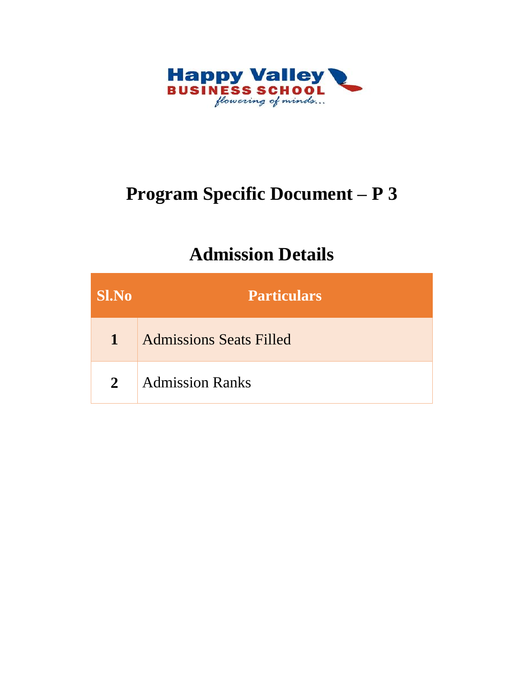

# **Program Specific Document – P 3**

## **Admission Details**

| <b>SI.No</b> | <b>Particulars</b>             |
|--------------|--------------------------------|
| $\mathbf{1}$ | <b>Admissions Seats Filled</b> |
| $\mathbf{2}$ | <b>Admission Ranks</b>         |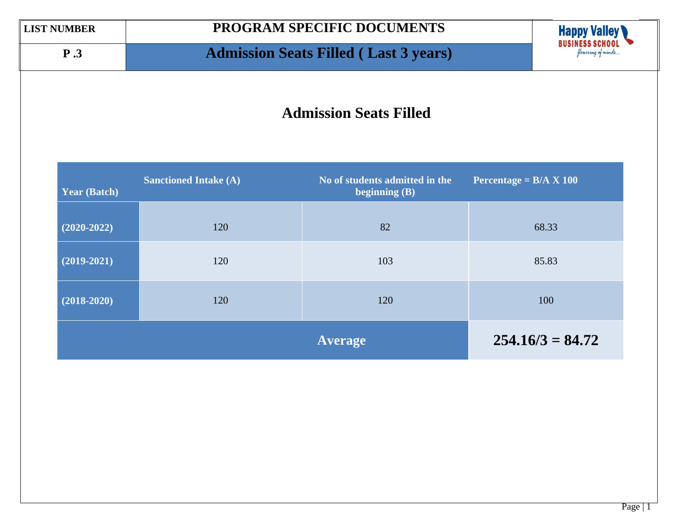## **P .3 Admission Seats Filled ( Last 3 years)**



### **Admission Seats Filled**

| <b>Year (Batch)</b> | <b>Sanctioned Intake (A)</b> | No of students admitted in the<br>beginning $(B)$ | Percentage = $B/A \times 100$ |
|---------------------|------------------------------|---------------------------------------------------|-------------------------------|
| $(2020-2022)$       | 120                          | 82                                                | 68.33                         |
| $(2019-2021)$       | 120                          | 103                                               | 85.83                         |
| $(2018-2020)$       | 120                          | 120                                               | 100                           |
|                     |                              | <b>Average</b>                                    | $254.16/3 = 84.72$            |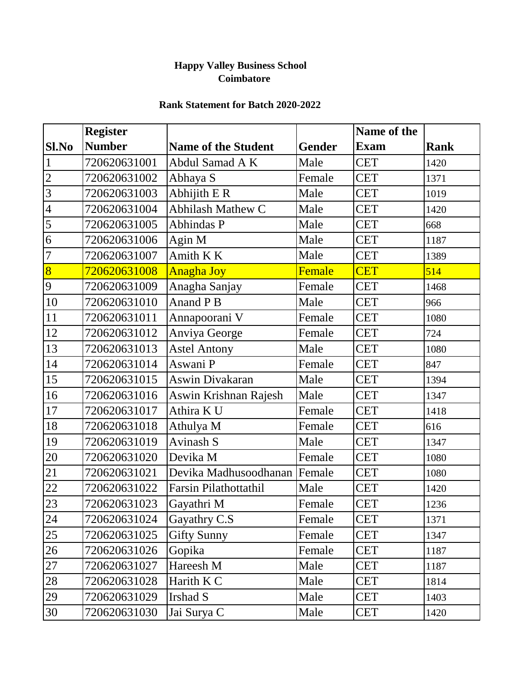### **Happy Valley Business School Coimbatore**

#### **Rank Statement for Batch 2020-2022**

|                | <b>Register</b> |                              |               | Name of the |             |
|----------------|-----------------|------------------------------|---------------|-------------|-------------|
| Sl.No          | <b>Number</b>   | <b>Name of the Student</b>   | <b>Gender</b> | <b>Exam</b> | <b>Rank</b> |
|                | 720620631001    | Abdul Samad A K              | Male          | <b>CET</b>  | 1420        |
| $\overline{2}$ | 720620631002    | Abhaya S                     | Female        | <b>CET</b>  | 1371        |
| $\overline{3}$ | 720620631003    | Abhijith E R                 | Male          | <b>CET</b>  | 1019        |
| $\overline{4}$ | 720620631004    | <b>Abhilash Mathew C</b>     | Male          | <b>CET</b>  | 1420        |
| 5              | 720620631005    | <b>Abhindas P</b>            | Male          | <b>CET</b>  | 668         |
| $\overline{6}$ | 720620631006    | Agin M                       | Male          | <b>CET</b>  | 1187        |
| $\overline{7}$ | 720620631007    | Amith K K                    | Male          | <b>CET</b>  | 1389        |
| 8              | 720620631008    | <b>Anagha Joy</b>            | <b>Female</b> | <b>CET</b>  | 514         |
| 9              | 720620631009    | Anagha Sanjay                | Female        | <b>CET</b>  | 1468        |
| 10             | 720620631010    | Anand P B                    | Male          | <b>CET</b>  | 966         |
| 11             | 720620631011    | Annapoorani V                | Female        | <b>CET</b>  | 1080        |
| 12             | 720620631012    | Anviya George                | Female        | <b>CET</b>  | 724         |
| 13             | 720620631013    | <b>Astel Antony</b>          | Male          | <b>CET</b>  | 1080        |
| 14             | 720620631014    | Aswani P                     | Female        | <b>CET</b>  | 847         |
| 15             | 720620631015    | Aswin Divakaran              | Male          | <b>CET</b>  | 1394        |
| 16             | 720620631016    | Aswin Krishnan Rajesh        | Male          | <b>CET</b>  | 1347        |
| 17             | 720620631017    | Athira K U                   | Female        | <b>CET</b>  | 1418        |
| 18             | 720620631018    | Athulya M                    | Female        | <b>CET</b>  | 616         |
| 19             | 720620631019    | Avinash S                    | Male          | <b>CET</b>  | 1347        |
| 20             | 720620631020    | Devika M                     | Female        | <b>CET</b>  | 1080        |
| 21             | 720620631021    | Devika Madhusoodhanan Female |               | <b>CET</b>  | 1080        |
| 22             | 720620631022    | <b>Farsin Pilathottathil</b> | Male          | <b>CET</b>  | 1420        |
| 23             | 720620631023    | Gayathri M                   | Female        | <b>CET</b>  | 1236        |
| 24             | 720620631024    | Gayathry C.S                 | Female        | <b>CET</b>  | 1371        |
| 25             | 720620631025    | <b>Gifty Sunny</b>           | Female        | <b>CET</b>  | 1347        |
| 26             | 720620631026    | Gopika                       | Female        | <b>CET</b>  | 1187        |
| 27             | 720620631027    | Hareesh M                    | Male          | <b>CET</b>  | 1187        |
| 28             | 720620631028    | Harith K C                   | Male          | <b>CET</b>  | 1814        |
| 29             | 720620631029    | Irshad S                     | Male          | <b>CET</b>  | 1403        |
| 30             | 720620631030    | Jai Surya C                  | Male          | <b>CET</b>  | 1420        |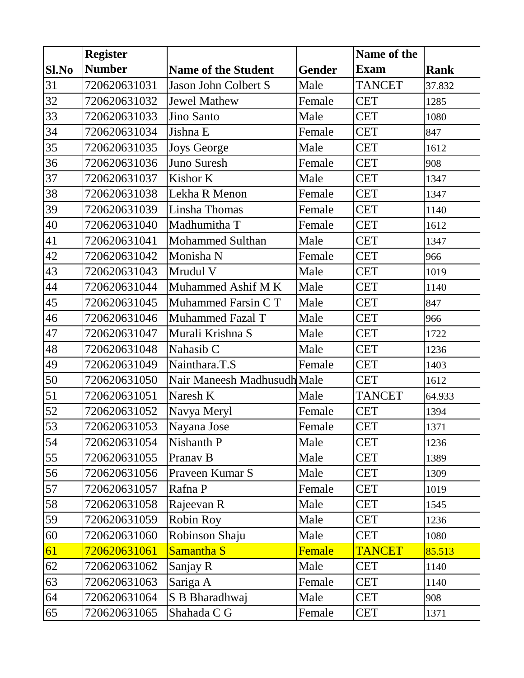|       | <b>Register</b> |                             |               | Name of the   |             |
|-------|-----------------|-----------------------------|---------------|---------------|-------------|
| Sl.No | <b>Number</b>   | <b>Name of the Student</b>  | <b>Gender</b> | <b>Exam</b>   | <b>Rank</b> |
| 31    | 720620631031    | Jason John Colbert S        | Male          | <b>TANCET</b> | 37.832      |
| 32    | 720620631032    | <b>Jewel Mathew</b>         | Female        | <b>CET</b>    | 1285        |
| 33    | 720620631033    | Jino Santo                  | Male          | <b>CET</b>    | 1080        |
| 34    | 720620631034    | Jishna E                    | Female        | <b>CET</b>    | 847         |
| 35    | 720620631035    | <b>Joys George</b>          | Male          | <b>CET</b>    | 1612        |
| 36    | 720620631036    | Juno Suresh                 | Female        | <b>CET</b>    | 908         |
| 37    | 720620631037    | Kishor K                    | Male          | <b>CET</b>    | 1347        |
| 38    | 720620631038    | Lekha R Menon               | Female        | <b>CET</b>    | 1347        |
| 39    | 720620631039    | Linsha Thomas               | Female        | <b>CET</b>    | 1140        |
| 40    | 720620631040    | Madhumitha T                | Female        | <b>CET</b>    | 1612        |
| 41    | 720620631041    | <b>Mohammed Sulthan</b>     | Male          | <b>CET</b>    | 1347        |
| 42    | 720620631042    | Monisha N                   | Female        | <b>CET</b>    | 966         |
| 43    | 720620631043    | Mrudul V                    | Male          | <b>CET</b>    | 1019        |
| 44    | 720620631044    | Muhammed Ashif M K          | Male          | <b>CET</b>    | 1140        |
| 45    | 720620631045    | Muhammed Farsin CT          | Male          | <b>CET</b>    | 847         |
| 46    | 720620631046    | <b>Muhammed Fazal T</b>     | Male          | <b>CET</b>    | 966         |
| 47    | 720620631047    | Murali Krishna S            | Male          | <b>CET</b>    | 1722        |
| 48    | 720620631048    | Nahasib C                   | Male          | <b>CET</b>    | 1236        |
| 49    | 720620631049    | Nainthara.T.S               | Female        | <b>CET</b>    | 1403        |
| 50    | 720620631050    | Nair Maneesh Madhusudh Male |               | <b>CET</b>    | 1612        |
| 51    | 720620631051    | Naresh K                    | Male          | <b>TANCET</b> | 64.933      |
| 52    | 720620631052    | Navya Meryl                 | Female        | <b>CET</b>    | 1394        |
| 53    | 720620631053    | Nayana Jose                 | Female        | <b>CET</b>    | 1371        |
| 54    | 720620631054    | Nishanth P                  | Male          | <b>CET</b>    | 1236        |
| 55    | 720620631055    | Pranav B                    | Male          | <b>CET</b>    | 1389        |
| 56    | 720620631056    | Praveen Kumar S             | Male          | <b>CET</b>    | 1309        |
| 57    | 720620631057    | Rafna P                     | Female        | <b>CET</b>    | 1019        |
| 58    | 720620631058    | Rajeevan R                  | Male          | <b>CET</b>    | 1545        |
| 59    | 720620631059    | <b>Robin Roy</b>            | Male          | <b>CET</b>    | 1236        |
| 60    | 720620631060    | Robinson Shaju              | Male          | <b>CET</b>    | 1080        |
| 61    | 720620631061    | Samantha <sub>S</sub>       | Female        | <b>TANCET</b> | 85.513      |
| 62    | 720620631062    | Sanjay R                    | Male          | <b>CET</b>    | 1140        |
| 63    | 720620631063    | Sariga A                    | Female        | <b>CET</b>    | 1140        |
| 64    | 720620631064    | S B Bharadhwaj              | Male          | <b>CET</b>    | 908         |
| 65    | 720620631065    | Shahada C G                 | Female        | <b>CET</b>    | 1371        |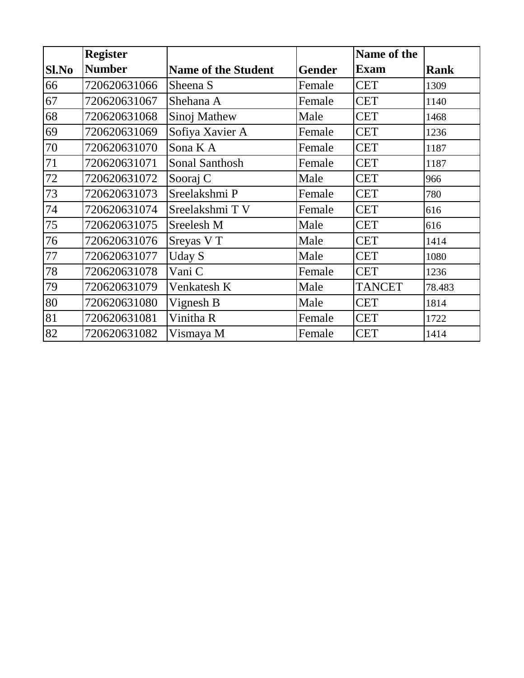|       | <b>Register</b> |                            |               | <b>Name of the</b> |        |
|-------|-----------------|----------------------------|---------------|--------------------|--------|
| Sl.No | <b>Number</b>   | <b>Name of the Student</b> | <b>Gender</b> | <b>Exam</b>        | Rank   |
| 66    | 720620631066    | Sheena S                   | Female        | <b>CET</b>         | 1309   |
| 67    | 720620631067    | Shehana A                  | Female        | <b>CET</b>         | 1140   |
| 68    | 720620631068    | Sinoj Mathew               | Male          | <b>CET</b>         | 1468   |
| 69    | 720620631069    | Sofiya Xavier A            | Female        | <b>CET</b>         | 1236   |
| 70    | 720620631070    | Sona K A                   | Female        | <b>CET</b>         | 1187   |
| 71    | 720620631071    | Sonal Santhosh             | Female        | <b>CET</b>         | 1187   |
| 72    | 720620631072    | Sooraj C                   | Male          | <b>CET</b>         | 966    |
| 73    | 720620631073    | Sreelakshmi P              | Female        | <b>CET</b>         | 780    |
| 74    | 720620631074    | Sreelakshmi TV             | Female        | <b>CET</b>         | 616    |
| 75    | 720620631075    | Sreelesh M                 | Male          | <b>CET</b>         | 616    |
| 76    | 720620631076    | Sreyas V T                 | Male          | <b>CET</b>         | 1414   |
| 77    | 720620631077    | <b>Uday S</b>              | Male          | <b>CET</b>         | 1080   |
| 78    | 720620631078    | Vani C                     | Female        | <b>CET</b>         | 1236   |
| 79    | 720620631079    | Venkatesh K                | Male          | <b>TANCET</b>      | 78.483 |
| 80    | 720620631080    | Vignesh B                  | Male          | <b>CET</b>         | 1814   |
| 81    | 720620631081    | Vinitha R                  | Female        | <b>CET</b>         | 1722   |
| 82    | 720620631082    | Vismaya M                  | Female        | <b>CET</b>         | 1414   |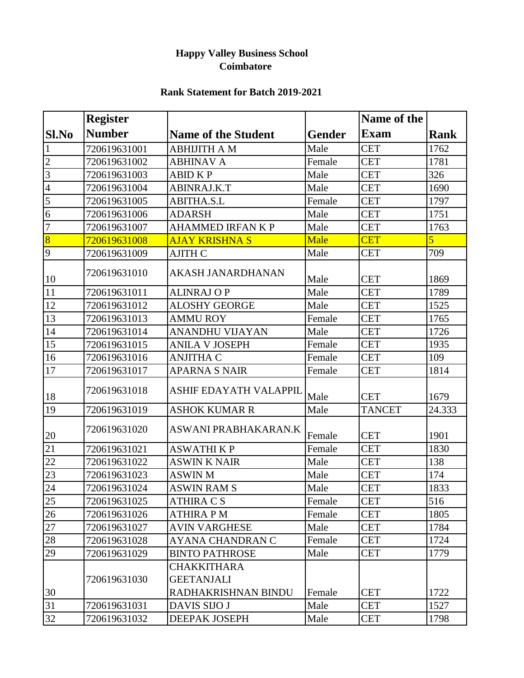#### **Happy Valley Business School Coimbatore**

#### **Rank Statement for Batch 2019-2021**

|                 | <b>Register</b> |                                                                |               | Name of the   |                |
|-----------------|-----------------|----------------------------------------------------------------|---------------|---------------|----------------|
| Sl.No           | <b>Number</b>   | <b>Name of the Student</b>                                     | <b>Gender</b> | <b>Exam</b>   | <b>Rank</b>    |
| $\mathbf{1}$    | 720619631001    | <b>ABHIJITH A M</b>                                            | Male          | <b>CET</b>    | 1762           |
| $\overline{c}$  | 720619631002    | <b>ABHINAV A</b>                                               | Female        | <b>CET</b>    | 1781           |
| $\overline{3}$  | 720619631003    | <b>ABID KP</b>                                                 | Male          | <b>CET</b>    | 326            |
| $\overline{4}$  | 720619631004    | ABINRAJ.K.T                                                    | Male          | <b>CET</b>    | 1690           |
| $\overline{5}$  | 720619631005    | <b>ABITHA.S.L</b>                                              | Female        | <b>CET</b>    | 1797           |
| $\overline{6}$  | 720619631006    | <b>ADARSH</b>                                                  | Male          | <b>CET</b>    | 1751           |
| $\overline{7}$  | 720619631007    | <b>AHAMMED IRFAN K P</b>                                       | Male          | <b>CET</b>    | 1763           |
| $\overline{8}$  | 720619631008    | <b>AJAY KRISHNA S</b>                                          | Male          | <b>CET</b>    | $\overline{5}$ |
| $\overline{Q}$  | 720619631009    | <b>AJITH C</b>                                                 | Male          | <b>CET</b>    | 709            |
| 10              | 720619631010    | AKASH JANARDHANAN                                              | Male          | <b>CET</b>    | 1869           |
| 11              | 720619631011    | <b>ALINRAJ OP</b>                                              | Male          | <b>CET</b>    | 1789           |
| 12              | 720619631012    | <b>ALOSHY GEORGE</b>                                           | Male          | <b>CET</b>    | 1525           |
| 13              | 720619631013    | <b>AMMU ROY</b>                                                | Female        | <b>CET</b>    | 1765           |
| 14              | 720619631014    | <b>ANANDHU VIJAYAN</b>                                         | Male          | <b>CET</b>    | 1726           |
| 15              | 720619631015    | <b>ANILA V JOSEPH</b>                                          | Female        | <b>CET</b>    | 1935           |
| 16              | 720619631016    | <b>ANJITHA C</b>                                               | Female        | <b>CET</b>    | 109            |
| 17              | 720619631017    | <b>APARNA S NAIR</b>                                           | Female        | <b>CET</b>    | 1814           |
| 18              | 720619631018    | ASHIF EDAYATH VALAPPIL                                         | Male          | <b>CET</b>    | 1679           |
| 19              | 720619631019    | <b>ASHOK KUMAR R</b>                                           | Male          | <b>TANCET</b> | 24.333         |
| 20              | 720619631020    | ASWANI PRABHAKARAN.K                                           | Female        | <b>CET</b>    | 1901           |
| 21              | 720619631021    | <b>ASWATHIKP</b>                                               | Female        | <b>CET</b>    | 1830           |
| 22              | 720619631022    | <b>ASWIN K NAIR</b>                                            | Male          | <b>CET</b>    | 138            |
| 23              | 720619631023    | <b>ASWIN M</b>                                                 | Male          | <b>CET</b>    | 174            |
| 24              | 720619631024    | <b>ASWIN RAM S</b>                                             | Male          | <b>CET</b>    | 1833           |
| 25              | 720619631025    | <b>ATHIRA C S</b>                                              | Female        | <b>CET</b>    | 516            |
| 26              | 720619631026    | <b>ATHIRA PM</b>                                               | Female        | <b>CET</b>    | 1805           |
| $\overline{27}$ | 720619631027    | <b>AVIN VARGHESE</b>                                           | Male          | <b>CET</b>    | 1784           |
| $28\,$          | 720619631028    | AYANA CHANDRAN C                                               | Female        | <b>CET</b>    | 1724           |
| 29              | 720619631029    | <b>BINTO PATHROSE</b>                                          | Male          | <b>CET</b>    | 1779           |
| 30              | 720619631030    | <b>CHAKKITHARA</b><br><b>GEETANJALI</b><br>RADHAKRISHNAN BINDU | Female        | <b>CET</b>    | 1722           |
| 31              | 720619631031    | DAVIS SIJO J                                                   | Male          | <b>CET</b>    | 1527           |
| 32              | 720619631032    | DEEPAK JOSEPH                                                  | Male          | <b>CET</b>    | 1798           |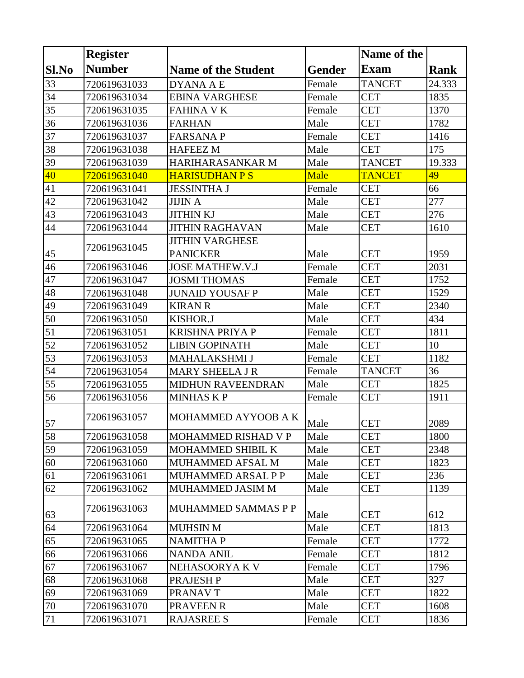|        | <b>Register</b> |                            |               | Name of the   |        |
|--------|-----------------|----------------------------|---------------|---------------|--------|
| Sl.No  | <b>Number</b>   | <b>Name of the Student</b> | <b>Gender</b> | <b>Exam</b>   | Rank   |
| 33     | 720619631033    | <b>DYANA A E</b>           | Female        | <b>TANCET</b> | 24.333 |
| 34     | 720619631034    | <b>EBINA VARGHESE</b>      | Female        | <b>CET</b>    | 1835   |
| 35     | 720619631035    | <b>FAHINA V K</b>          | Female        | <b>CET</b>    | 1370   |
| 36     | 720619631036    | <b>FARHAN</b>              | Male          | <b>CET</b>    | 1782   |
| 37     | 720619631037    | <b>FARSANAP</b>            | Female        | <b>CET</b>    | 1416   |
| 38     | 720619631038    | <b>HAFEEZ M</b>            | Male          | <b>CET</b>    | 175    |
| 39     | 720619631039    | HARIHARASANKAR M           | Male          | <b>TANCET</b> | 19.333 |
| 40     | 720619631040    | <b>HARISUDHAN P S</b>      | Male          | <b>TANCET</b> | 49     |
| 41     | 720619631041    | <b>JESSINTHA J</b>         | Female        | <b>CET</b>    | 66     |
| 42     | 720619631042    | <b>JIJIN A</b>             | Male          | <b>CET</b>    | 277    |
| 43     | 720619631043    | <b>JITHIN KJ</b>           | Male          | <b>CET</b>    | 276    |
| 44     | 720619631044    | <b>JITHIN RAGHAVAN</b>     | Male          | <b>CET</b>    | 1610   |
|        |                 | <b>JITHIN VARGHESE</b>     |               |               |        |
| 45     | 720619631045    | <b>PANICKER</b>            | Male          | <b>CET</b>    | 1959   |
| 46     | 720619631046    | <b>JOSE MATHEW.V.J</b>     | Female        | <b>CET</b>    | 2031   |
| 47     | 720619631047    | <b>JOSMI THOMAS</b>        | Female        | <b>CET</b>    | 1752   |
| 48     | 720619631048    | <b>JUNAID YOUSAF P</b>     | Male          | <b>CET</b>    | 1529   |
| 49     | 720619631049    | <b>KIRAN R</b>             | Male          | <b>CET</b>    | 2340   |
| 50     | 720619631050    | KISHOR.J                   | Male          | <b>CET</b>    | 434    |
| 51     | 720619631051    | <b>KRISHNA PRIYA P</b>     | Female        | <b>CET</b>    | 1811   |
| 52     | 720619631052    | <b>LIBIN GOPINATH</b>      | Male          | <b>CET</b>    | 10     |
| 53     | 720619631053    | MAHALAKSHMI J              | Female        | <b>CET</b>    | 1182   |
| 54     | 720619631054    | <b>MARY SHEELA J R</b>     | Female        | <b>TANCET</b> | 36     |
| 55     | 720619631055    | MIDHUN RAVEENDRAN          | Male          | <b>CET</b>    | 1825   |
| 56     | 720619631056    | <b>MINHASKP</b>            | Female        | <b>CET</b>    | 1911   |
| 57     | 720619631057    | MOHAMMED AYYOOB A K        | Male          | <b>CET</b>    | 2089   |
| 58     | 720619631058    | <b>MOHAMMED RISHAD V P</b> | Male          | <b>CET</b>    | 1800   |
| 59     | 720619631059    | MOHAMMED SHIBIL K          | Male          | <b>CET</b>    | 2348   |
| 60     | 720619631060    | <b>MUHAMMED AFSAL M</b>    | Male          | <b>CET</b>    | 1823   |
| 61     | 720619631061    | MUHAMMED ARSAL P P         | Male          | <b>CET</b>    | 236    |
| 62     | 720619631062    | MUHAMMED JASIM M           | Male          | <b>CET</b>    | 1139   |
| 63     | 720619631063    | MUHAMMED SAMMAS P P        | Male          | <b>CET</b>    | 612    |
| 64     | 720619631064    | <b>MUHSIN M</b>            | Male          | <b>CET</b>    | 1813   |
| 65     | 720619631065    | <b>NAMITHA P</b>           | Female        | <b>CET</b>    | 1772   |
| 66     | 720619631066    | <b>NANDA ANIL</b>          | Female        | <b>CET</b>    | 1812   |
| 67     | 720619631067    | NEHASOORYA K V             | Female        | <b>CET</b>    | 1796   |
| 68     | 720619631068    | PRAJESH P                  | Male          | <b>CET</b>    | 327    |
| 69     | 720619631069    | PRANAV T                   | Male          | <b>CET</b>    | 1822   |
| $70\,$ | 720619631070    | PRAVEEN R                  | Male          | <b>CET</b>    | 1608   |
| 71     | 720619631071    | <b>RAJASREE S</b>          | Female        | <b>CET</b>    | 1836   |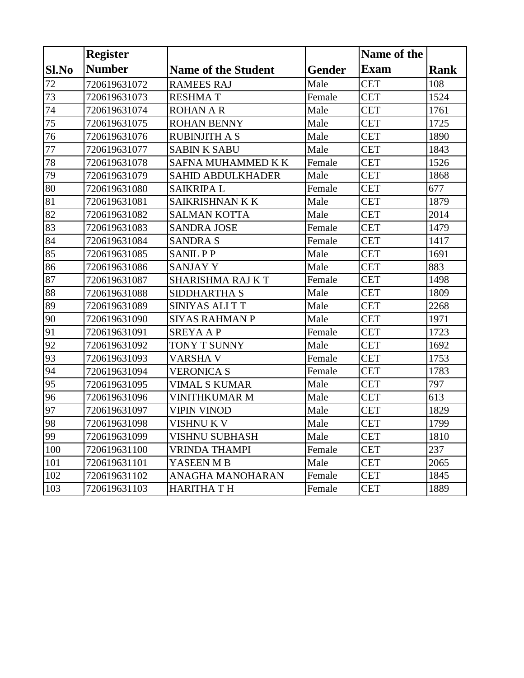|       | <b>Register</b> |                            |               | Name of the |             |
|-------|-----------------|----------------------------|---------------|-------------|-------------|
| Sl.No | <b>Number</b>   | <b>Name of the Student</b> | <b>Gender</b> | <b>Exam</b> | <b>Rank</b> |
| 72    | 720619631072    | <b>RAMEES RAJ</b>          | Male          | <b>CET</b>  | 108         |
| 73    | 720619631073    | <b>RESHMAT</b>             | Female        | <b>CET</b>  | 1524        |
| 74    | 720619631074    | <b>ROHAN A R</b>           | Male          | <b>CET</b>  | 1761        |
| 75    | 720619631075    | <b>ROHAN BENNY</b>         | Male          | <b>CET</b>  | 1725        |
| 76    | 720619631076    | <b>RUBINJITH A S</b>       | Male          | <b>CET</b>  | 1890        |
| 77    | 720619631077    | <b>SABIN K SABU</b>        | Male          | <b>CET</b>  | 1843        |
| 78    | 720619631078    | <b>SAFNA MUHAMMED K K</b>  | Female        | <b>CET</b>  | 1526        |
| 79    | 720619631079    | <b>SAHID ABDULKHADER</b>   | Male          | <b>CET</b>  | 1868        |
| 80    | 720619631080    | <b>SAIKRIPAL</b>           | Female        | <b>CET</b>  | 677         |
| 81    | 720619631081    | SAIKRISHNAN K K            | Male          | <b>CET</b>  | 1879        |
| 82    | 720619631082    | <b>SALMAN KOTTA</b>        | Male          | <b>CET</b>  | 2014        |
| 83    | 720619631083    | <b>SANDRA JOSE</b>         | Female        | <b>CET</b>  | 1479        |
| 84    | 720619631084    | <b>SANDRA S</b>            | Female        | <b>CET</b>  | 1417        |
| 85    | 720619631085    | <b>SANIL PP</b>            | Male          | <b>CET</b>  | 1691        |
| 86    | 720619631086    | <b>SANJAY Y</b>            | Male          | <b>CET</b>  | 883         |
| 87    | 720619631087    | SHARISHMA RAJ KT           | Female        | <b>CET</b>  | 1498        |
| 88    | 720619631088    | <b>SIDDHARTHA S</b>        | Male          | <b>CET</b>  | 1809        |
| 89    | 720619631089    | SINIYAS ALITT              | Male          | <b>CET</b>  | 2268        |
| 90    | 720619631090    | <b>SIYAS RAHMAN P</b>      | Male          | <b>CET</b>  | 1971        |
| 91    | 720619631091    | <b>SREYAAP</b>             | Female        | <b>CET</b>  | 1723        |
| 92    | 720619631092    | TONY T SUNNY               | Male          | <b>CET</b>  | 1692        |
| 93    | 720619631093    | VARSHA V                   | Female        | <b>CET</b>  | 1753        |
| 94    | 720619631094    | <b>VERONICA S</b>          | Female        | <b>CET</b>  | 1783        |
| 95    | 720619631095    | <b>VIMAL S KUMAR</b>       | Male          | <b>CET</b>  | 797         |
| 96    | 720619631096    | <b>VINITHKUMAR M</b>       | Male          | <b>CET</b>  | 613         |
| 97    | 720619631097    | <b>VIPIN VINOD</b>         | Male          | <b>CET</b>  | 1829        |
| 98    | 720619631098    | VISHNU K V                 | Male          | <b>CET</b>  | 1799        |
| 99    | 720619631099    | VISHNU SUBHASH             | Male          | <b>CET</b>  | 1810        |
| 100   | 720619631100    | <b>VRINDA THAMPI</b>       | Female        | <b>CET</b>  | 237         |
| 101   | 720619631101    | YASEEN M B                 | Male          | <b>CET</b>  | 2065        |
| 102   | 720619631102    | ANAGHA MANOHARAN           | Female        | <b>CET</b>  | 1845        |
| 103   | 720619631103    | HARITHA T H                | Female        | <b>CET</b>  | 1889        |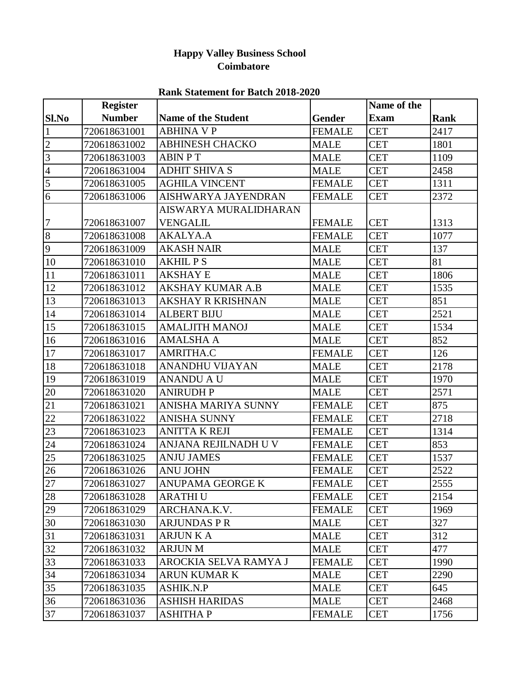### **Happy Valley Business School Coimbatore**

|                | <b>Register</b> |                            |               | Name of the |             |
|----------------|-----------------|----------------------------|---------------|-------------|-------------|
| Sl.No          | <b>Number</b>   | <b>Name of the Student</b> | Gender        | <b>Exam</b> | <b>Rank</b> |
| $\mathbf{1}$   | 720618631001    | <b>ABHINA V P</b>          | <b>FEMALE</b> | <b>CET</b>  | 2417        |
| $\overline{c}$ | 720618631002    | <b>ABHINESH CHACKO</b>     | <b>MALE</b>   | <b>CET</b>  | 1801        |
| $\overline{3}$ | 720618631003    | <b>ABIN PT</b>             | <b>MALE</b>   | <b>CET</b>  | 1109        |
| $\overline{4}$ | 720618631004    | <b>ADHIT SHIVA S</b>       | <b>MALE</b>   | <b>CET</b>  | 2458        |
| 5              | 720618631005    | <b>AGHILA VINCENT</b>      | <b>FEMALE</b> | <b>CET</b>  | 1311        |
| 6              | 720618631006    | AISHWARYA JAYENDRAN        | <b>FEMALE</b> | <b>CET</b>  | 2372        |
|                |                 | AISWARYA MURALIDHARAN      |               |             |             |
| 7              | 720618631007    | <b>VENGALIL</b>            | <b>FEMALE</b> | <b>CET</b>  | 1313        |
| 8              | 720618631008    | AKALYA.A                   | <b>FEMALE</b> | <b>CET</b>  | 1077        |
| 9              | 720618631009    | <b>AKASH NAIR</b>          | <b>MALE</b>   | <b>CET</b>  | 137         |
| 10             | 720618631010    | <b>AKHIL P S</b>           | <b>MALE</b>   | <b>CET</b>  | 81          |
| 11             | 720618631011    | <b>AKSHAY E</b>            | <b>MALE</b>   | <b>CET</b>  | 1806        |
| 12             | 720618631012    | AKSHAY KUMAR A.B           | <b>MALE</b>   | <b>CET</b>  | 1535        |
| 13             | 720618631013    | <b>AKSHAY R KRISHNAN</b>   | <b>MALE</b>   | <b>CET</b>  | 851         |
| 14             | 720618631014    | <b>ALBERT BIJU</b>         | <b>MALE</b>   | <b>CET</b>  | 2521        |
| 15             | 720618631015    | <b>AMALJITH MANOJ</b>      | <b>MALE</b>   | <b>CET</b>  | 1534        |
| 16             | 720618631016    | <b>AMALSHA A</b>           | <b>MALE</b>   | <b>CET</b>  | 852         |
| 17             | 720618631017    | AMRITHA.C                  | <b>FEMALE</b> | <b>CET</b>  | 126         |
| 18             | 720618631018    | <b>ANANDHU VIJAYAN</b>     | <b>MALE</b>   | <b>CET</b>  | 2178        |
| 19             | 720618631019    | ANANDU A U                 | <b>MALE</b>   | <b>CET</b>  | 1970        |
| 20             | 720618631020    | <b>ANIRUDH P</b>           | <b>MALE</b>   | <b>CET</b>  | 2571        |
| 21             | 720618631021    | ANISHA MARIYA SUNNY        | <b>FEMALE</b> | <b>CET</b>  | 875         |
| 22             | 720618631022    | <b>ANISHA SUNNY</b>        | <b>FEMALE</b> | <b>CET</b>  | 2718        |
| 23             | 720618631023    | <b>ANITTA K REJI</b>       | <b>FEMALE</b> | <b>CET</b>  | 1314        |
| 24             | 720618631024    | ANJANA REJILNADH U V       | <b>FEMALE</b> | <b>CET</b>  | 853         |
| 25             | 720618631025    | <b>ANJU JAMES</b>          | <b>FEMALE</b> | <b>CET</b>  | 1537        |
| 26             | 720618631026    | <b>ANU JOHN</b>            | <b>FEMALE</b> | <b>CET</b>  | 2522        |
| 27             | 720618631027    | ANUPAMA GEORGE K           | <b>FEMALE</b> | <b>CET</b>  | 2555        |
| 28             | 720618631028    | <b>ARATHIU</b>             | <b>FEMALE</b> | <b>CET</b>  | 2154        |
| 29             | 720618631029    | ARCHANA.K.V.               | <b>FEMALE</b> | <b>CET</b>  | 1969        |
| 30             | 720618631030    | <b>ARJUNDAS P R</b>        | <b>MALE</b>   | <b>CET</b>  | 327         |
| 31             | 720618631031    | <b>ARJUN K A</b>           | <b>MALE</b>   | <b>CET</b>  | 312         |
| 32             | 720618631032    | <b>ARJUN M</b>             | <b>MALE</b>   | <b>CET</b>  | 477         |
| 33             | 720618631033    | AROCKIA SELVA RAMYA J      | <b>FEMALE</b> | <b>CET</b>  | 1990        |
| 34             | 720618631034    | <b>ARUN KUMAR K</b>        | <b>MALE</b>   | <b>CET</b>  | 2290        |
| 35             | 720618631035    | <b>ASHIK.N.P</b>           | <b>MALE</b>   | <b>CET</b>  | 645         |
| 36             | 720618631036    | <b>ASHISH HARIDAS</b>      | <b>MALE</b>   | <b>CET</b>  | 2468        |
| 37             | 720618631037    | <b>ASHITHAP</b>            | <b>FEMALE</b> | <b>CET</b>  | 1756        |

#### **Rank Statement for Batch 2018-2020**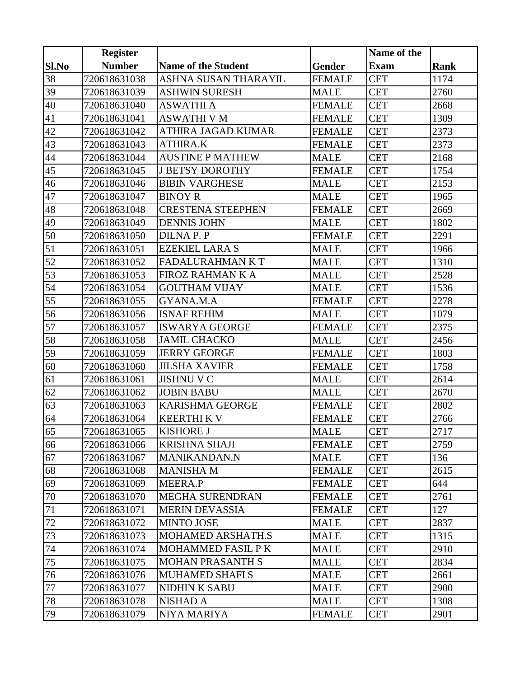|                 | <b>Register</b> |                            |               | Name of the |             |
|-----------------|-----------------|----------------------------|---------------|-------------|-------------|
| Sl.No           | <b>Number</b>   | <b>Name of the Student</b> | Gender        | <b>Exam</b> | <b>Rank</b> |
| 38              | 720618631038    | ASHNA SUSAN THARAYIL       | <b>FEMALE</b> | <b>CET</b>  | 1174        |
| 39              | 720618631039    | <b>ASHWIN SURESH</b>       | <b>MALE</b>   | <b>CET</b>  | 2760        |
| 40              | 720618631040    | <b>ASWATHI A</b>           | <b>FEMALE</b> | <b>CET</b>  | 2668        |
| 41              | 720618631041    | <b>ASWATHI V M</b>         | <b>FEMALE</b> | <b>CET</b>  | 1309        |
| 42              | 720618631042    | ATHIRA JAGAD KUMAR         | <b>FEMALE</b> | <b>CET</b>  | 2373        |
| 43              | 720618631043    | <b>ATHIRA.K</b>            | <b>FEMALE</b> | <b>CET</b>  | 2373        |
| 44              | 720618631044    | <b>AUSTINE P MATHEW</b>    | <b>MALE</b>   | <b>CET</b>  | 2168        |
| 45              | 720618631045    | <b>J BETSY DOROTHY</b>     | <b>FEMALE</b> | <b>CET</b>  | 1754        |
| 46              | 720618631046    | <b>BIBIN VARGHESE</b>      | <b>MALE</b>   | <b>CET</b>  | 2153        |
| 47              | 720618631047    | <b>BINOY R</b>             | <b>MALE</b>   | <b>CET</b>  | 1965        |
| 48              | 720618631048    | <b>CRESTENA STEEPHEN</b>   | <b>FEMALE</b> | <b>CET</b>  | 2669        |
| 49              | 720618631049    | <b>DENNIS JOHN</b>         | <b>MALE</b>   | <b>CET</b>  | 1802        |
| 50              | 720618631050    | <b>DILNAP.P</b>            | <b>FEMALE</b> | <b>CET</b>  | 2291        |
| 51              | 720618631051    | <b>EZEKIEL LARA S</b>      | <b>MALE</b>   | <b>CET</b>  | 1966        |
| 52              | 720618631052    | FADALURAHMAN KT            | <b>MALE</b>   | <b>CET</b>  | 1310        |
| 53              | 720618631053    | <b>FIROZ RAHMAN K A</b>    | <b>MALE</b>   | <b>CET</b>  | 2528        |
| $\overline{54}$ | 720618631054    | <b>GOUTHAM VIJAY</b>       | <b>MALE</b>   | <b>CET</b>  | 1536        |
| 55              | 720618631055    | GYANA.M.A                  | <b>FEMALE</b> | <b>CET</b>  | 2278        |
| 56              | 720618631056    | <b>ISNAF REHIM</b>         | <b>MALE</b>   | <b>CET</b>  | 1079        |
| 57              | 720618631057    | <b>ISWARYA GEORGE</b>      | <b>FEMALE</b> | <b>CET</b>  | 2375        |
| 58              | 720618631058    | <b>JAMIL CHACKO</b>        | <b>MALE</b>   | <b>CET</b>  | 2456        |
| 59              | 720618631059    | <b>JERRY GEORGE</b>        | <b>FEMALE</b> | <b>CET</b>  | 1803        |
| 60              | 720618631060    | <b>JILSHA XAVIER</b>       | <b>FEMALE</b> | <b>CET</b>  | 1758        |
| 61              | 720618631061    | <b>JISHNU V C</b>          | <b>MALE</b>   | <b>CET</b>  | 2614        |
| 62              | 720618631062    | <b>JOBIN BABU</b>          | <b>MALE</b>   | <b>CET</b>  | 2670        |
| 63              | 720618631063    | <b>KARISHMA GEORGE</b>     | <b>FEMALE</b> | <b>CET</b>  | 2802        |
| 64              | 720618631064    | <b>KEERTHI K V</b>         | <b>FEMALE</b> | <b>CET</b>  | 2766        |
| $\overline{65}$ | 720618631065    | <b>KISHORE J</b>           | <b>MALE</b>   | <b>CET</b>  | 2717        |
| 66              | 720618631066    | <b>KRISHNA SHAJI</b>       | <b>FEMALE</b> | <b>CET</b>  | 2759        |
| 67              | 720618631067    | <b>MANIKANDAN.N</b>        | MALE          | <b>CET</b>  | 136         |
| 68              | 720618631068    | <b>MANISHA M</b>           | <b>FEMALE</b> | <b>CET</b>  | 2615        |
| 69              | 720618631069    | MEERA.P                    | <b>FEMALE</b> | <b>CET</b>  | 644         |
| 70              | 720618631070    | <b>MEGHA SURENDRAN</b>     | <b>FEMALE</b> | <b>CET</b>  | 2761        |
| 71              | 720618631071    | <b>MERIN DEVASSIA</b>      | <b>FEMALE</b> | CET         | 127         |
| $72\,$          | 720618631072    | <b>MINTO JOSE</b>          | <b>MALE</b>   | <b>CET</b>  | 2837        |
| 73              | 720618631073    | MOHAMED ARSHATH.S          | <b>MALE</b>   | <b>CET</b>  | 1315        |
| 74              | 720618631074    | <b>MOHAMMED FASIL P K</b>  | MALE          | <b>CET</b>  | 2910        |
| 75              | 720618631075    | <b>MOHAN PRASANTH S</b>    | <b>MALE</b>   | <b>CET</b>  | 2834        |
| 76              | 720618631076    | <b>MUHAMED SHAFI S</b>     | <b>MALE</b>   | <b>CET</b>  | 2661        |
| $77 \,$         | 720618631077    | <b>NIDHIN K SABU</b>       | <b>MALE</b>   | <b>CET</b>  | 2900        |
| $78\,$          | 720618631078    | <b>NISHAD A</b>            | MALE          | <b>CET</b>  | 1308        |
| 79              | 720618631079    | NIYA MARIYA                | <b>FEMALE</b> | <b>CET</b>  | 2901        |